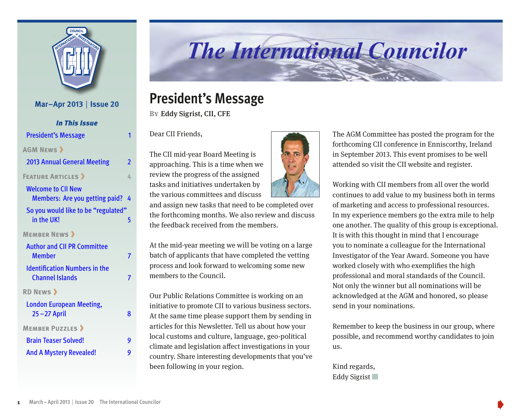

## **Mar–Apr 2013** | **Issue 20** *In This Issue* President's Message 1 **[AGM News](#page-1-0)** 2013 [Annual General Meeting](#page-1-0) 2 **FEATURE ARTICLES 4** [Welcome to CII New](#page-3-0)  Members: [Are you getting paid?](#page-3-0) 4 [So you would like to be "regulated"](#page-4-0)  in the UK! **[Member News](#page-6-0)** [Author and CII PR Committee](#page-6-0)  [Member](#page-6-0) 7 7 [Identification Numbers in the](#page-6-0)  [Channel Islands](#page-6-0) 7 **[RD News](#page-7-0)**

| <b>London European Meeting,</b><br>$25 - 27$ April | 8 |
|----------------------------------------------------|---|
| <b>MEMBER PUZZLES &gt;</b>                         |   |
| <b>Brain Teaser Solved!</b>                        | g |
| <b>And A Mystery Revealed!</b>                     | q |

# **The International Councilor**

## **President's Message**

**By**Eddy Sigrist, CII, CFE

Dear CII Friends,

The CII mid-year Board Meeting is approaching. This is a time when we review the progress of the assigned tasks and initiatives undertaken by the various committees and discuss

and assign new tasks that need to be completed over the forthcoming months. We also review and discuss the feedback received from the members.

At the mid-year meeting we will be voting on a large batch of applicants that have completed the vetting process and look forward to welcoming some new members to the Council.

Our Public Relations Committee is working on an initiative to promote CII to various business sectors. At the same time please support them by sending in articles for this Newsletter. Tell us about how your local customs and culture, language, geo-political climate and legislation affect investigations in your country. Share interesting developments that you've been following in your region.



The AGM Committee has posted the program for the forthcoming CII conference in Enniscorthy, Ireland in September 2013. This event promises to be well attended so visit the CII website and register.

Working with CII members from all over the world continues to add value to my business both in terms of marketing and access to professional resources. In my experience members go the extra mile to help one another. The quality of this group is exceptional. It is with this thought in mind that I encourage you to nominate a colleague for the International Investigator of the Year Award. Someone you have worked closely with who exemplifies the high professional and moral standards of the Council. Not only the winner but all nominations will be acknowledged at the AGM and honored, so please send in your nominations.

Remember to keep the business in our group, where possible, and recommend worthy candidates to join  $11S.$ 

Kind regards, Eddy Sigrist 回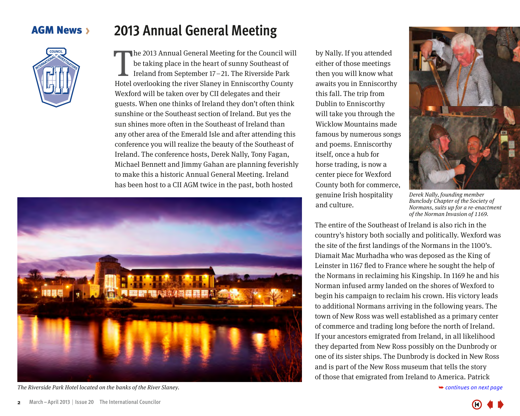### <span id="page-1-0"></span>**AGM News >**



## **2013 Annual General Meeting**

The 2013 Annual General Meeting for the Council will<br>be taking place in the heart of sunny Southeast of<br>Ireland from September 17–21. The Riverside Park<br>Hotel overlooking the river Slaney in Enniscorthy County he 2013 Annual General Meeting for the Council will be taking place in the heart of sunny Southeast of Ireland from September 17–21. The Riverside Park Wexford will be taken over by CII delegates and their guests. When one thinks of Ireland they don't often think sunshine or the Southeast section of Ireland. But yes the sun shines more often in the Southeast of Ireland than any other area of the Emerald Isle and after attending this conference you will realize the beauty of the Southeast of Ireland. The conference hosts, Derek Nally, Tony Fagan, Michael Bennett and Jimmy Gahan are planning feverishly to make this a historic Annual General Meeting. Ireland has been host to a CII AGM twice in the past, both hosted



The Riverside Park Hotel located on the banks of the River Slaney.

by Nally. If you attended either of those meetings then you will know what awaits you in Enniscorthy this fall. The trip from Dublin to Enniscorthy will take you through the Wicklow Mountains made famous by numerous songs and poems. Enniscorthy itself, once a hub for horse trading, is now a center piece for Wexford County both for commerce, genuine Irish hospitality and culture.



Derek Nally, founding member Bunclody Chapter of the Society of Normans, suits up for a re-enactment of the Norman Invasion of 1169.

The entire of the Southeast of Ireland is also rich in the country's history both socially and politically. Wexford was the site of the first landings of the Normans in the 1100's. Diamait Mac Murhadha who was deposed as the King of Leinster in 1167 fled to France where he sought the help of the Normans in reclaiming his Kingship. In 1169 he and his Norman infused army landed on the shores of Wexford to begin his campaign to reclaim his crown. His victory leads to additional Normans arriving in the following years. The town of New Ross was well established as a primary center of commerce and trading long before the north of Ireland. If your ancestors emigrated from Ireland, in all likelihood they departed from New Ross possibly on the Dunbrody or one of its sister ships. The Dunbrody is docked in New Ross and is part of the New Ross museum that tells the story of those that emigrated from Ireland to America. Patrick

➥ *[continues on next page](#page-2-0)*

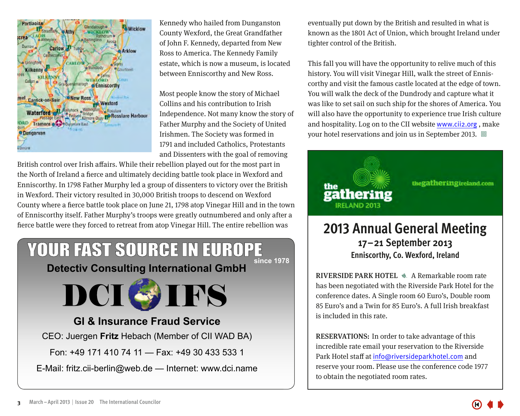<span id="page-2-0"></span>

Kennedy who hailed from Dunganston County Wexford, the Great Grandfather of John F. Kennedy, departed from New Ross to America. The Kennedy Family estate, which is now a museum, is located between Enniscorthy and New Ross.

Most people know the story of Michael Collins and his contribution to Irish Independence. Not many know the story of Father Murphy and the Society of United Irishmen. The Society was formed in 1791 and included Catholics, Protestants and Dissenters with the goal of removing

British control over Irish affairs. While their rebellion played out for the most part in the North of Ireland a fierce and ultimately deciding battle took place in Wexford and Enniscorthy. In 1798 Father Murphy led a group of dissenters to victory over the British in Wexford. Their victory resulted in 30,000 British troops to descend on Wexford County where a fierce battle took place on June 21, 1798 atop Vinegar Hill and in the town of Enniscorthy itself. Father Murphy's troops were greatly outnumbered and only after a fierce battle were they forced to retreat from atop Vinegar Hill. The entire rebellion was

### YOUR FAST SOURCE IN EUROPE **since 1978**

**Detectiv Consulting International GmbH**



#### **GI & Insurance Fraud Service**

CEO: Juergen **Fritz** Hebach (Member of CII WAD BA)

Fon: +49 171 410 74 11 — Fax: +49 30 433 533 1

E-Mail: fritz.cii-berlin@web.de — Internet: www.dci.name

eventually put down by the British and resulted in what is known as the 1801 Act of Union, which brought Ireland under tighter control of the British.

This fall you will have the opportunity to relive much of this history. You will visit Vinegar Hill, walk the street of Enniscorthy and visit the famous castle located at the edge of town. You will walk the deck of the Dundrody and capture what it was like to set sail on such ship for the shores of America. You will also have the opportunity to experience true Irish culture and hospitality. Log on to the CII website www.cii2.org , make your hotel reservations and join us in September 2013.  $\Box$ 



## **2013 Annual General Meeting 17–21 September 2013 Enniscorthy, Co. Wexford, Ireland**

RIVERSIDE PARK HOTEL  $\triangle$  A Remarkable room rate has been negotiated with the Riverside Park Hotel for the conference dates. A Single room 60 Euro's, Double room 85 Euro's and a Twin for 85 Euro's. A full Irish breakfast is included in this rate.

RESERVATIONS: In order to take advantage of this incredible rate email your reservation to the Riverside Park Hotel staff at info@riversideparkhotel.com and reserve your room. Please use the conference code 1977 to obtain the negotiated room rates.

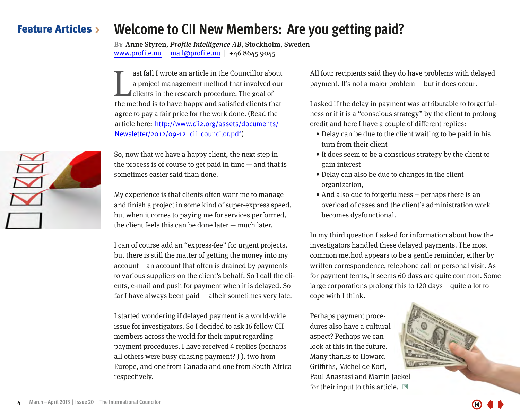#### <span id="page-3-0"></span>Feature Articles **Welcome to CII New Members: Are you getting paid?**

**By**Anne Styren, Profile Intelligence AB, Stockholm, Sweden www.profile.nu | mail@profile.nu | +46 8645 9045

ast fall I wrote an article in the Councillor about<br>a project management method that involved our<br>clients in the research procedure. The goal of<br>the method is to have happy and satisfied clients that ast fall I wrote an article in the Councillor about a project management method that involved our clients in the research procedure. The goal of agree to pay a fair price for the work done. (Read the article here: [http://www.cii2.org/assets/documents/](http://www.cii2.org/assets/documents/Newsletter/2012/09-12_cii_councilor.pdf) [Newsletter/2012/09-12\\_cii\\_councilor.pdf](http://www.cii2.org/assets/documents/Newsletter/2012/09-12_cii_councilor.pdf))

So, now that we have a happy client, the next step in the process is of course to get paid in time  $-$  and that is sometimes easier said than done.

My experience is that clients often want me to manage and finish a project in some kind of super-express speed, but when it comes to paying me for services performed, the client feels this can be done later — much later.

I can of course add an "express-fee" for urgent projects, but there is still the matter of getting the money into my account – an account that often is drained by payments to various suppliers on the client's behalf. So I call the clients, e-mail and push for payment when it is delayed. So far I have always been paid — albeit sometimes very late.

I started wondering if delayed payment is a world-wide issue for investigators. So I decided to ask 16 fellow CII members across the world for their input regarding payment procedures. I have received 4 replies (perhaps all others were busy chasing payment? J ), two from Europe, and one from Canada and one from South Africa respectively.

All four recipients said they do have problems with delayed payment. It's not a major problem — but it does occur.

I asked if the delay in payment was attributable to forgetfulness or if it is a "conscious strategy" by the client to prolong credit and here I have a couple of different replies:

- Delay can be due to the client waiting to be paid in his turn from their client
- It does seem to be a conscious strategy by the client to gain interest
- Delay can also be due to changes in the client organization,
- And also due to forgetfulness perhaps there is an overload of cases and the client's administration work becomes dysfunctional.

In my third question I asked for information about how the investigators handled these delayed payments. The most common method appears to be a gentle reminder, either by written correspondence, telephone call or personal visit. As for payment terms, it seems 60 days are quite common. Some large corporations prolong this to 120 days – quite a lot to cope with I think.

Perhaps payment procedures also have a cultural aspect? Perhaps we can look at this in the future. Many thanks to Howard Griffiths, Michel de Kort, Paul Anastasi and Martin Jaekel for their input to this article.  $\Box$ 

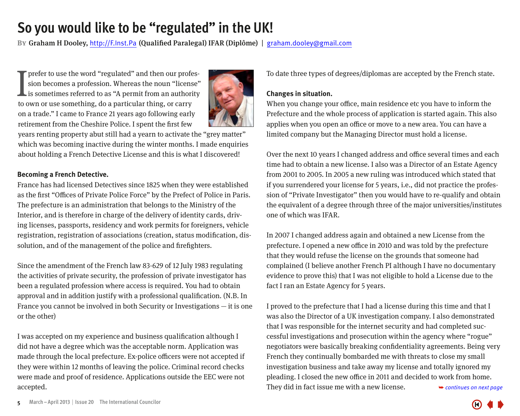## <span id="page-4-0"></span>**So you would like to be "regulated" in the UK!**

**By**Graham H Dooley, http://F.Inst.Pa (Qualified Paralegal) IFAR (Diplôme) | graham.dooley@gmail.com

T prefer to use the word "regulated" and then our profes-<br>sion becomes a profession. Whereas the noun "license"<br>is sometimes referred to as "A permit from an authority<br>to own or use something, do a particular thing, or car sion becomes a profession. Whereas the noun "license" is sometimes referred to as "A permit from an authority to own or use something, do a particular thing, or carry on a trade." I came to France 21 years ago following early retirement from the Cheshire Police. I spent the first few



years renting property abut still had a yearn to activate the "grey matter" which was becoming inactive during the winter months. I made enquiries about holding a French Detective License and this is what I discovered!

#### **Becoming a French Detective.**

France has had licensed Detectives since 1825 when they were established as the first "Offices of Private Police Force" by the Prefect of Police in Paris. The prefecture is an administration that belongs to the Ministry of the Interior, and is therefore in charge of the delivery of identity cards, driving licenses, passports, residency and work permits for foreigners, vehicle registration, registration of associations (creation, status modification, dissolution, and of the management of the police and firefighters.

Since the amendment of the French law 83-629 of 12 July 1983 regulating the activities of private security, the profession of private investigator has been a regulated profession where access is required. You had to obtain approval and in addition justify with a professional qualification. (N.B. In France you cannot be involved in both Security or Investigations — it is one or the other)

I was accepted on my experience and business qualification although I did not have a degree which was the acceptable norm. Application was made through the local prefecture. Ex-police officers were not accepted if they were within 12 months of leaving the police. Criminal record checks were made and proof of residence. Applications outside the EEC were not accepted.

To date three types of degrees/diplomas are accepted by the French state.

#### **Changes in situation.**

When you change your office, main residence etc you have to inform the Prefecture and the whole process of application is started again. This also applies when you open an office or move to a new area. You can have a limited company but the Managing Director must hold a license.

Over the next 10 years I changed address and office several times and each time had to obtain a new license. I also was a Director of an Estate Agency from 2001 to 2005. In 2005 a new ruling was introduced which stated that if you surrendered your license for 5 years, i.e., did not practice the profession of "Private Investigator" then you would have to re-qualify and obtain the equivalent of a degree through three of the major universities/institutes one of which was IFAR.

In 2007 I changed address again and obtained a new License from the prefecture. I opened a new office in 2010 and was told by the prefecture that they would refuse the license on the grounds that someone had complained (I believe another French PI although I have no documentary evidence to prove this) that I was not eligible to hold a License due to the fact I ran an Estate Agency for 5 years.

I proved to the prefecture that I had a license during this time and that I was also the Director of a UK investigation company. I also demonstrated that I was responsible for the internet security and had completed successful investigations and prosecution within the agency where "rogue" negotiators were basically breaking confidentiality agreements. Being very French they continually bombarded me with threats to close my small investigation business and take away my license and totally ignored my pleading. I closed the new office in 2011 and decided to work from home. They did in fact issue me with a new license.  $\rightarrow$  *continues on next page* 

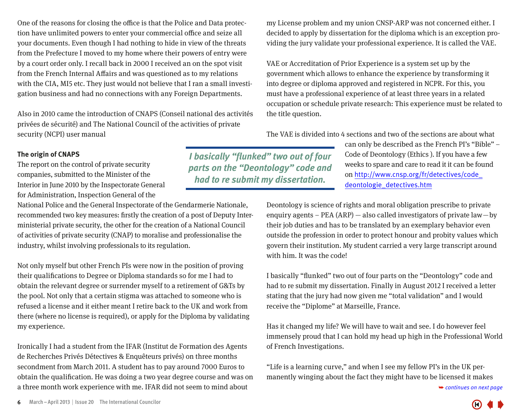<span id="page-5-0"></span>One of the reasons for closing the office is that the Police and Data protection have unlimited powers to enter your commercial office and seize all your documents. Even though I had nothing to hide in view of the threats from the Prefecture I moved to my home where their powers of entry were by a court order only. I recall back in 2000 I received an on the spot visit from the French Internal Affairs and was questioned as to my relations with the CIA, MI5 etc. They just would not believe that I ran a small investigation business and had no connections with any Foreign Departments.

Also in 2010 came the introduction of CNAPS (Conseil national des activités privées de sécurité) and The National Council of the activities of private security (NCPI) user manual

my License problem and my union CNSP-ARP was not concerned either. I decided to apply by dissertation for the diploma which is an exception providing the jury validate your professional experience. It is called the VAE.

VAE or Accreditation of Prior Experience is a system set up by the government which allows to enhance the experience by transforming it into degree or diploma approved and registered in NCPR. For this, you must have a professional experience of at least three years in a related occupation or schedule private research: This experience must be related to the title question.

The VAE is divided into 4 sections and two of the sections are about what

can only be described as the French PI's "Bible" – Code of Deontology (Ethics ). If you have a few weeks to spare and care to read it it can be found on [http://www.cnsp.org/fr/detectives/code\\_](http://www.cnsp.org/fr/detectives/code_deontologie_detectives.htm) [deontologie\\_detectives.htm](http://www.cnsp.org/fr/detectives/code_deontologie_detectives.htm)

Deontology is science of rights and moral obligation prescribe to private enquiry agents – PEA (ARP)  $-$  also called investigators of private law $-$ by their job duties and has to be translated by an exemplary behavior even outside the profession in order to protect honour and probity values which govern their institution. My student carried a very large transcript around with him. It was the code!

I basically "flunked" two out of four parts on the "Deontology" code and had to re submit my dissertation. Finally in August 2012 I received a letter stating that the jury had now given me "total validation" and I would receive the "Diplome" at Marseille, France.

Has it changed my life? We will have to wait and see. I do however feel immensely proud that I can hold my head up high in the Professional World of French Investigations.

"Life is a learning curve," and when I see my fellow PI's in the UK permanently winging about the fact they might have to be licensed it makes

➥ *[continues on next page](#page-6-0)*

#### **The origin of CNAPS**

The report on the control of private security companies, submitted to the Minister of the Interior in June 2010 by the Inspectorate General for Administration, Inspection General of the

National Police and the General Inspectorate of the Gendarmerie Nationale, recommended two key measures: firstly the creation of a post of Deputy Interministerial private security, the other for the creation of a National Council of activities of private security (CNAP) to moralise and professionalise the industry, whilst involving professionals to its regulation.

Not only myself but other French PIs were now in the position of proving their qualifications to Degree or Diploma standards so for me I had to obtain the relevant degree or surrender myself to a retirement of G&Ts by the pool. Not only that a certain stigma was attached to someone who is refused a license and it either meant I retire back to the UK and work from there (where no license is required), or apply for the Diploma by validating my experience.

Ironically I had a student from the IFAR (Institut de Formation des Agents de Recherches Privés Détectives & Enquêteurs privés) on three months secondment from March 2011. A student has to pay around 7000 Euros to obtain the qualification. He was doing a two year degree course and was on a three month work experience with me. IFAR did not seem to mind about



*I basically "flunked" two out of four parts on the "Deontology" code and had to re submit my dissertation.*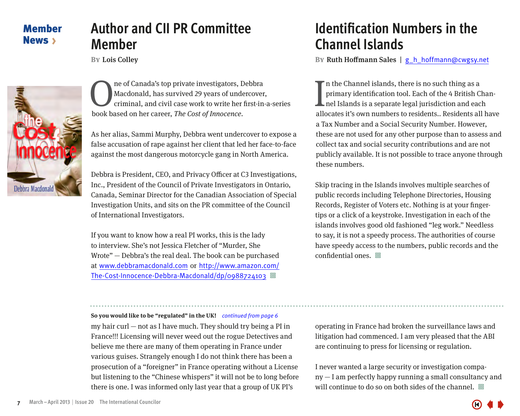## **Author and CII PR Committee Member**

**BY** Lois Colley

<span id="page-6-0"></span>

**OREA CONFIDENTIFY CONFIDENTIFY OF CANADA CONFIDENTIFY**<br> **OREA CONFIDENTIFY CONFIDENTIFY CONFIDENT**<br> **OREA CONFIDENTIFY CONFIDENCE**<br> **CONFIDENTIFY CONFIDENCE**<br> **CONFIDENTIFY CONFIDENT**<br> **CONFIDENT** Macdonald, has survived 29 years of undercover, criminal, and civil case work to write her first-in-a-series book based on her career, The Cost of Innocence.

As her alias, Sammi Murphy, Debbra went undercover to expose a false accusation of rape against her client that led her face-to-face against the most dangerous motorcycle gang in North America.

Debbra is President, CEO, and Privacy Officer at C3 Investigations, Inc., President of the Council of Private Investigators in Ontario, Canada, Seminar Director for the Canadian Association of Special Investigation Units, and sits on the PR committee of the Council of International Investigators.

If you want to know how a real PI works, this is the lady to interview. She's not Jessica Fletcher of "Murder, She Wrote" — Debbra's the real deal. The book can be purchased at www.debbramacdonald.com or [http://www.amazon.com/](http://www.amazon.com/The-Cost-Innocence-Debbra-Macdonald/dp/0988724103) [The-Cost-Innocence-Debbra-Macdonald/dp/0988724103](http://www.amazon.com/The-Cost-Innocence-Debbra-Macdonald/dp/0988724103) 回

## **Identification Numbers in the Channel Islands**

**By**Ruth Hoffmann Sales | g\_h\_hoffmann@cwgsy.net

I n the Channel islands, there is no such thing as a primary identification tool. Each of the 4 British Channel Islands is a separate legal jurisdiction and each allocates it's own numbers to residents.. Residents all have a Tax Number and a Social Security Number. However, these are not used for any other purpose than to assess and collect tax and social security contributions and are not publicly available. It is not possible to trace anyone through these numbers.

Skip tracing in the Islands involves multiple searches of public records including Telephone Directories, Housing Records, Register of Voters etc. Nothing is at your fingertips or a click of a keystroke. Investigation in each of the islands involves good old fashioned "leg work." Needless to say, it is not a speedy process. The authorities of course have speedy access to the numbers, public records and the  $confidential$  ones.  $\Box$ 

#### **So you would like to be "regulated" in the UK!** *continued from page 6*

my hair curl — not as I have much. They should try being a PI in France!!! Licensing will never weed out the rogue Detectives and believe me there are many of them operating in France under various guises. Strangely enough I do not think there has been a prosecution of a "foreigner" in France operating without a License but listening to the "Chinese whispers" it will not be to long before there is one. I was informed only last year that a group of UK PI's

operating in France had broken the surveillance laws and litigation had commenced. I am very pleased that the ABI are continuing to press for licensing or regulation.

I never wanted a large security or investigation company — I am perfectly happy running a small consultancy and will continue to do so on both sides of the channel.  $\Box$ 

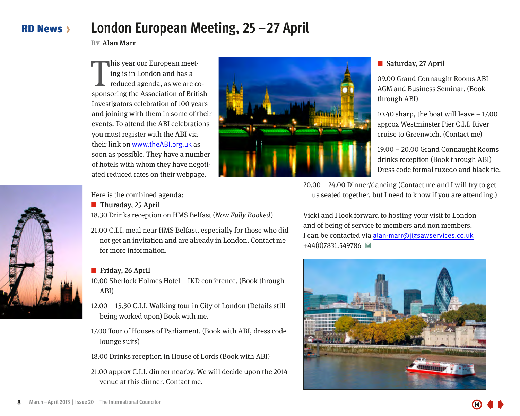#### <span id="page-7-0"></span>RD News **London European Meeting, 25–27 April**

**By**Alan Marr

his year our European meet-<br>ing is in London and has a<br>reduced agenda, as we are co-<br>sponsoring the Association of British his year our European meeting is in London and has a reduced agenda, as we are co-Investigators celebration of 100 years and joining with them in some of their events. To attend the ABI celebrations you must register with the ABI via their link on www.theABI.org.uk as soon as possible. They have a number of hotels with whom they have negotiated reduced rates on their webpage.



#### ■ Saturday, 27 April

09.00 Grand Connaught Rooms ABI AGM and Business Seminar. (Book through ABI)

10.40 sharp, the boat will leave  $-17.00$ approx Westminster Pier C.I.I. River cruise to Greenwich. (Contact me)

19.00 – 20.00 Grand Connaught Rooms drinks reception (Book through ABI) Dress code formal tuxedo and black tie.

Here is the combined agenda:

■ Thursday, 25 April

18.30 Drinks reception on HMS Belfast (Now Fully Booked)

21.00 C.I.I. meal near HMS Belfast, especially for those who did not get an invitation and are already in London. Contact me for more information.

#### ■ Friday, 26 April

10.00 Sherlock Holmes Hotel – IKD conference. (Book through ABI)

12.00 – 15.30 C.I.I. Walking tour in City of London (Details still being worked upon) Book with me.

17.00 Tour of Houses of Parliament. (Book with ABI, dress code lounge suits)

18.00 Drinks reception in House of Lords (Book with ABI)

21.00 approx C.I.I. dinner nearby. We will decide upon the 2014 venue at this dinner. Contact me.

20.00 – 24.00 Dinner/dancing (Contact me and I will try to get us seated together, but I need to know if you are attending.)

Vicki and I look forward to hosting your visit to London and of being of service to members and non members. I can be contacted via alan-marr@jigsawservices.co.uk +44(0)7831.549786 回